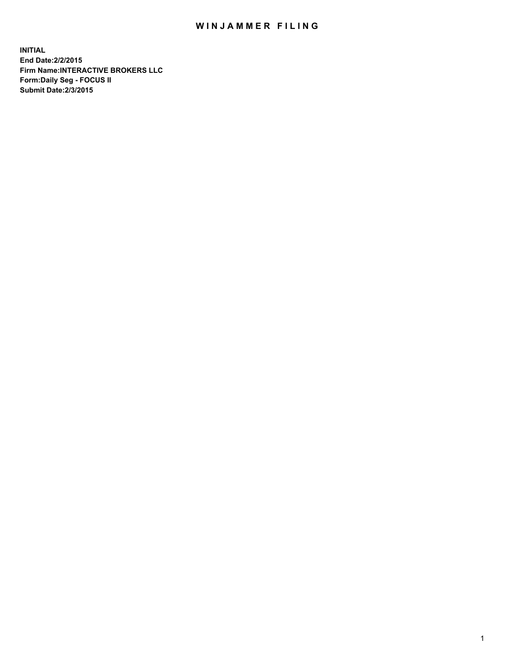## WIN JAMMER FILING

**INITIAL End Date:2/2/2015 Firm Name:INTERACTIVE BROKERS LLC Form:Daily Seg - FOCUS II Submit Date:2/3/2015**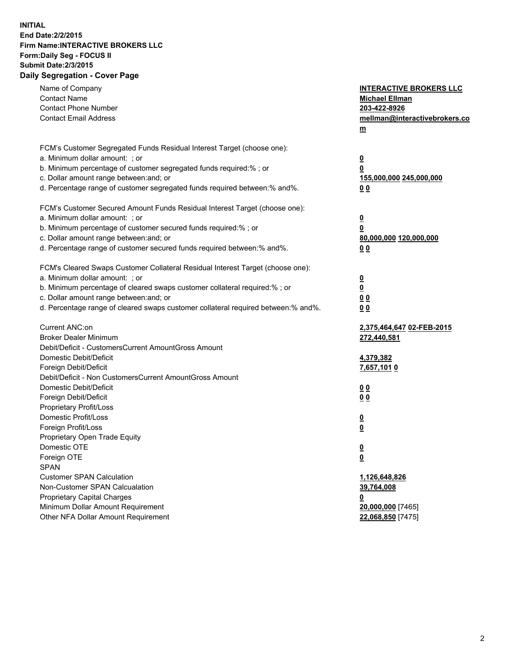## **INITIAL End Date:2/2/2015 Firm Name:INTERACTIVE BROKERS LLC Form:Daily Seg - FOCUS II Submit Date:2/3/2015 Daily Segregation - Cover Page**

| Name of Company<br><b>Contact Name</b><br><b>Contact Phone Number</b><br><b>Contact Email Address</b> | <b>INTERACTIVE BROKERS LLC</b><br><b>Michael Ellman</b><br>203-422-8926<br>mellman@interactivebrokers.co<br>$\underline{\mathbf{m}}$ |
|-------------------------------------------------------------------------------------------------------|--------------------------------------------------------------------------------------------------------------------------------------|
| FCM's Customer Segregated Funds Residual Interest Target (choose one):                                |                                                                                                                                      |
| a. Minimum dollar amount: ; or                                                                        | $\overline{\mathbf{0}}$                                                                                                              |
| b. Minimum percentage of customer segregated funds required:% ; or                                    | 0                                                                                                                                    |
| c. Dollar amount range between: and; or                                                               | 155,000,000 245,000,000                                                                                                              |
| d. Percentage range of customer segregated funds required between:% and%.                             | 00                                                                                                                                   |
| FCM's Customer Secured Amount Funds Residual Interest Target (choose one):                            |                                                                                                                                      |
| a. Minimum dollar amount: ; or                                                                        | $\overline{\mathbf{0}}$                                                                                                              |
| b. Minimum percentage of customer secured funds required:% ; or                                       | 0                                                                                                                                    |
| c. Dollar amount range between: and; or                                                               | 80,000,000 120,000,000                                                                                                               |
| d. Percentage range of customer secured funds required between:% and%.                                | 00                                                                                                                                   |
| FCM's Cleared Swaps Customer Collateral Residual Interest Target (choose one):                        |                                                                                                                                      |
| a. Minimum dollar amount: ; or                                                                        | $\overline{\mathbf{0}}$                                                                                                              |
| b. Minimum percentage of cleared swaps customer collateral required:% ; or                            | $\overline{\mathbf{0}}$                                                                                                              |
| c. Dollar amount range between: and; or                                                               | 0 <sub>0</sub>                                                                                                                       |
| d. Percentage range of cleared swaps customer collateral required between:% and%.                     | 0 <sub>0</sub>                                                                                                                       |
|                                                                                                       |                                                                                                                                      |
| Current ANC:on                                                                                        | 2,375,464,647 02-FEB-2015                                                                                                            |
| <b>Broker Dealer Minimum</b>                                                                          | 272,440,581                                                                                                                          |
| Debit/Deficit - CustomersCurrent AmountGross Amount                                                   |                                                                                                                                      |
| Domestic Debit/Deficit                                                                                | 4,379,382                                                                                                                            |
| Foreign Debit/Deficit                                                                                 | 7,657,1010                                                                                                                           |
| Debit/Deficit - Non CustomersCurrent AmountGross Amount                                               |                                                                                                                                      |
| Domestic Debit/Deficit                                                                                | 0 <sub>0</sub>                                                                                                                       |
| Foreign Debit/Deficit                                                                                 | 0 <sub>0</sub>                                                                                                                       |
| Proprietary Profit/Loss                                                                               |                                                                                                                                      |
| Domestic Profit/Loss                                                                                  | $\overline{\mathbf{0}}$                                                                                                              |
| Foreign Profit/Loss                                                                                   | $\underline{\mathbf{0}}$                                                                                                             |
| Proprietary Open Trade Equity<br>Domestic OTE                                                         |                                                                                                                                      |
|                                                                                                       | <u>0</u>                                                                                                                             |
| Foreign OTE<br><b>SPAN</b>                                                                            | <u>0</u>                                                                                                                             |
| <b>Customer SPAN Calculation</b>                                                                      | 1,126,648,826                                                                                                                        |
| Non-Customer SPAN Calcualation                                                                        | 39,764,008                                                                                                                           |
| <b>Proprietary Capital Charges</b>                                                                    |                                                                                                                                      |
| Minimum Dollar Amount Requirement                                                                     | <u>0</u><br>20,000,000 [7465]                                                                                                        |
| Other NFA Dollar Amount Requirement                                                                   | 22,068,850 [7475]                                                                                                                    |
|                                                                                                       |                                                                                                                                      |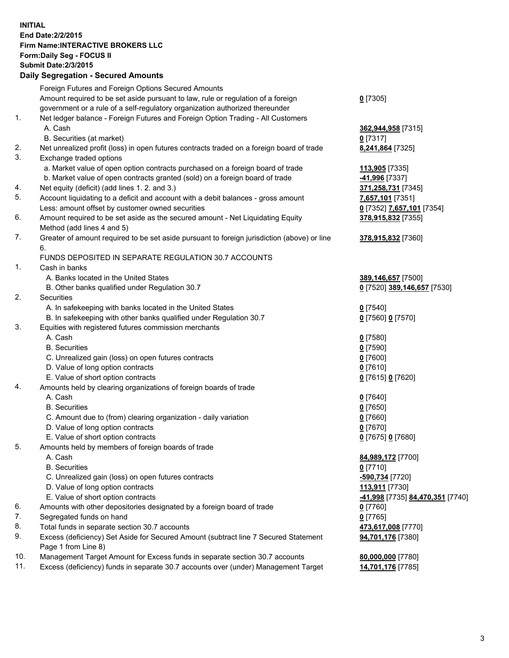## **INITIAL End Date:2/2/2015 Firm Name:INTERACTIVE BROKERS LLC Form:Daily Seg - FOCUS II Submit Date:2/3/2015 Daily Segregation - Secured Amounts**

|     | Foreign Futures and Foreign Options Secured Amounts                                         |                                  |
|-----|---------------------------------------------------------------------------------------------|----------------------------------|
|     | Amount required to be set aside pursuant to law, rule or regulation of a foreign            | $0$ [7305]                       |
|     | government or a rule of a self-regulatory organization authorized thereunder                |                                  |
| 1.  | Net ledger balance - Foreign Futures and Foreign Option Trading - All Customers             |                                  |
|     | A. Cash                                                                                     | 362,944,958 [7315]               |
|     | B. Securities (at market)                                                                   | $0$ [7317]                       |
| 2.  | Net unrealized profit (loss) in open futures contracts traded on a foreign board of trade   | 8,241,864 [7325]                 |
| 3.  | Exchange traded options                                                                     |                                  |
|     | a. Market value of open option contracts purchased on a foreign board of trade              | 113,905 [7335]                   |
|     | b. Market value of open contracts granted (sold) on a foreign board of trade                | 41,996 [7337]                    |
| 4.  | Net equity (deficit) (add lines 1. 2. and 3.)                                               | 371,258,731 [7345]               |
| 5.  | Account liquidating to a deficit and account with a debit balances - gross amount           | 7,657,101 [7351]                 |
|     | Less: amount offset by customer owned securities                                            | 0 [7352] 7,657,101 [7354]        |
| 6.  | Amount required to be set aside as the secured amount - Net Liquidating Equity              | 378,915,832 [7355]               |
|     | Method (add lines 4 and 5)                                                                  |                                  |
| 7.  | Greater of amount required to be set aside pursuant to foreign jurisdiction (above) or line | 378,915,832 [7360]               |
|     | 6.                                                                                          |                                  |
|     | FUNDS DEPOSITED IN SEPARATE REGULATION 30.7 ACCOUNTS                                        |                                  |
| 1.  | Cash in banks                                                                               |                                  |
|     | A. Banks located in the United States                                                       | 389,146,657 [7500]               |
|     | B. Other banks qualified under Regulation 30.7                                              | 0 [7520] 389,146,657 [7530]      |
| 2.  | Securities                                                                                  |                                  |
|     | A. In safekeeping with banks located in the United States                                   | $0$ [7540]                       |
|     | B. In safekeeping with other banks qualified under Regulation 30.7                          | 0 [7560] 0 [7570]                |
| 3.  | Equities with registered futures commission merchants                                       |                                  |
|     | A. Cash                                                                                     | $0$ [7580]                       |
|     | <b>B.</b> Securities                                                                        | $0$ [7590]                       |
|     | C. Unrealized gain (loss) on open futures contracts                                         | $0$ [7600]                       |
|     | D. Value of long option contracts                                                           | $0$ [7610]                       |
|     | E. Value of short option contracts                                                          | 0 [7615] 0 [7620]                |
| 4.  | Amounts held by clearing organizations of foreign boards of trade                           |                                  |
|     | A. Cash                                                                                     | $0$ [7640]                       |
|     | <b>B.</b> Securities                                                                        | $0$ [7650]                       |
|     | C. Amount due to (from) clearing organization - daily variation                             | $0$ [7660]                       |
|     | D. Value of long option contracts                                                           | $0$ [7670]                       |
|     | E. Value of short option contracts                                                          | 0 [7675] 0 [7680]                |
| 5.  | Amounts held by members of foreign boards of trade                                          |                                  |
|     | A. Cash                                                                                     | 84,989,172 [7700]                |
|     | <b>B.</b> Securities                                                                        | $0$ [7710]                       |
|     | C. Unrealized gain (loss) on open futures contracts                                         | -590,734 [7720]                  |
|     | D. Value of long option contracts                                                           | 113,911 [7730]                   |
|     | E. Value of short option contracts                                                          | -41,998 [7735] 84,470,351 [7740] |
| 6.  | Amounts with other depositories designated by a foreign board of trade                      | 0 [7760]                         |
| 7.  | Segregated funds on hand                                                                    | $0$ [7765]                       |
| 8.  | Total funds in separate section 30.7 accounts                                               | 473,617,008 [7770]               |
| 9.  | Excess (deficiency) Set Aside for Secured Amount (subtract line 7 Secured Statement         | 94,701,176 [7380]                |
|     | Page 1 from Line 8)                                                                         |                                  |
| 10. | Management Target Amount for Excess funds in separate section 30.7 accounts                 | 80,000,000 [7780]                |
| 11. | Excess (deficiency) funds in separate 30.7 accounts over (under) Management Target          | 14,701,176 [7785]                |
|     |                                                                                             |                                  |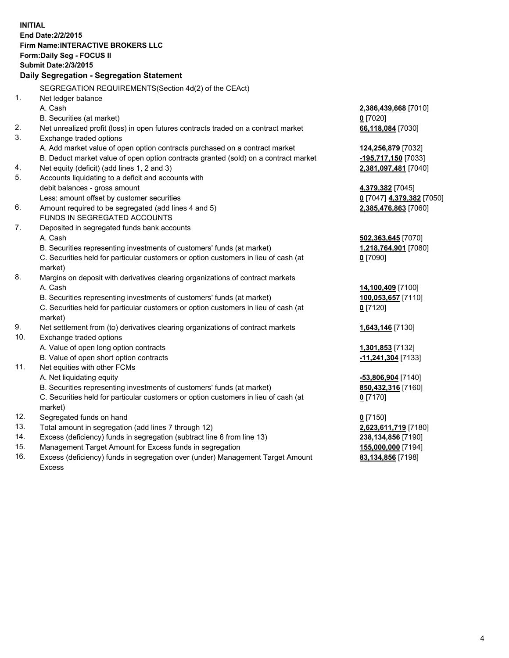**INITIAL End Date:2/2/2015 Firm Name:INTERACTIVE BROKERS LLC Form:Daily Seg - FOCUS II Submit Date:2/3/2015 Daily Segregation - Segregation Statement** SEGREGATION REQUIREMENTS(Section 4d(2) of the CEAct) 1. Net ledger balance A. Cash **2,386,439,668** [7010] B. Securities (at market) **0** [7020] 2. Net unrealized profit (loss) in open futures contracts traded on a contract market **66,118,084** [7030] 3. Exchange traded options A. Add market value of open option contracts purchased on a contract market **124,256,879** [7032] B. Deduct market value of open option contracts granted (sold) on a contract market **-195,717,150** [7033] 4. Net equity (deficit) (add lines 1, 2 and 3) **2,381,097,481** [7040] 5. Accounts liquidating to a deficit and accounts with debit balances - gross amount **4,379,382** [7045] Less: amount offset by customer securities **0** [7047] **4,379,382** [7050] 6. Amount required to be segregated (add lines 4 and 5) **2,385,476,863** [7060] FUNDS IN SEGREGATED ACCOUNTS 7. Deposited in segregated funds bank accounts A. Cash **502,363,645** [7070] B. Securities representing investments of customers' funds (at market) **1,218,764,901** [7080] C. Securities held for particular customers or option customers in lieu of cash (at market) **0** [7090] 8. Margins on deposit with derivatives clearing organizations of contract markets A. Cash **14,100,409** [7100] B. Securities representing investments of customers' funds (at market) **100,053,657** [7110] C. Securities held for particular customers or option customers in lieu of cash (at market) **0** [7120] 9. Net settlement from (to) derivatives clearing organizations of contract markets **1,643,146** [7130] 10. Exchange traded options A. Value of open long option contracts **1,301,853** [7132] B. Value of open short option contracts **-11,241,304** [7133] 11. Net equities with other FCMs A. Net liquidating equity **-53,806,904** [7140] B. Securities representing investments of customers' funds (at market) **850,432,316** [7160] C. Securities held for particular customers or option customers in lieu of cash (at market) **0** [7170] 12. Segregated funds on hand **0** [7150] 13. Total amount in segregation (add lines 7 through 12) **2,623,611,719** [7180] 14. Excess (deficiency) funds in segregation (subtract line 6 from line 13) **238,134,856** [7190] 15. Management Target Amount for Excess funds in segregation **155,000,000** [7194]

16. Excess (deficiency) funds in segregation over (under) Management Target Amount Excess

**83,134,856** [7198]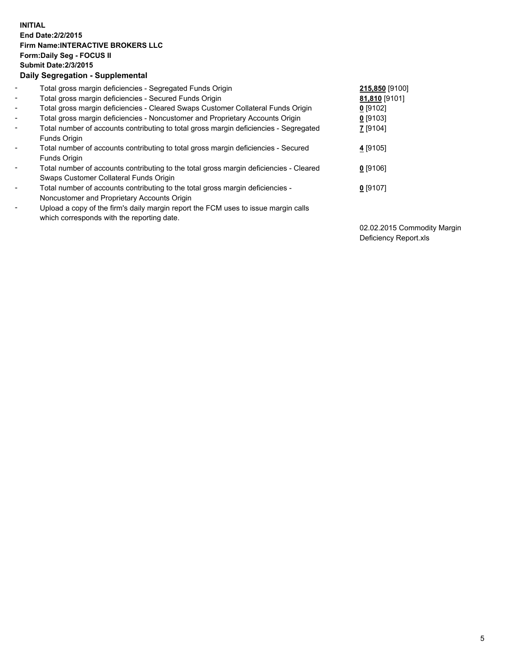## **INITIAL End Date:2/2/2015 Firm Name:INTERACTIVE BROKERS LLC Form:Daily Seg - FOCUS II Submit Date:2/3/2015 Daily Segregation - Supplemental**

| $\blacksquare$ | Total gross margin deficiencies - Segregated Funds Origin                              | 215,850 [9100] |
|----------------|----------------------------------------------------------------------------------------|----------------|
| $\sim$         | Total gross margin deficiencies - Secured Funds Origin                                 | 81,810 [9101]  |
| $\blacksquare$ | Total gross margin deficiencies - Cleared Swaps Customer Collateral Funds Origin       | $0$ [9102]     |
| $\blacksquare$ | Total gross margin deficiencies - Noncustomer and Proprietary Accounts Origin          | $0$ [9103]     |
| $\blacksquare$ | Total number of accounts contributing to total gross margin deficiencies - Segregated  | 7 [9104]       |
|                | Funds Origin                                                                           |                |
| $\blacksquare$ | Total number of accounts contributing to total gross margin deficiencies - Secured     | $4$ [9105]     |
|                | Funds Origin                                                                           |                |
| Ξ.             | Total number of accounts contributing to the total gross margin deficiencies - Cleared | $0$ [9106]     |
|                | Swaps Customer Collateral Funds Origin                                                 |                |
| ۰              | Total number of accounts contributing to the total gross margin deficiencies -         | $0$ [9107]     |
|                | Noncustomer and Proprietary Accounts Origin                                            |                |
| $\blacksquare$ | Upload a copy of the firm's daily margin report the FCM uses to issue margin calls     |                |
|                | which corresponds with the reporting date.                                             |                |

02.02.2015 Commodity Margin Deficiency Report.xls